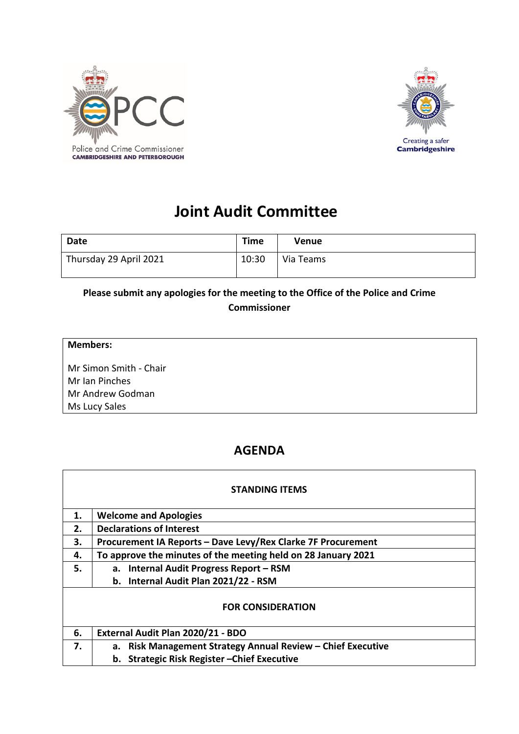



# **Joint Audit Committee**

| Date                   | <b>Time</b> | Venue     |
|------------------------|-------------|-----------|
| Thursday 29 April 2021 | 10:30       | Via Teams |

### **Please submit any apologies for the meeting to the Office of the Police and Crime Commissioner**

#### **Members:**

Mr Simon Smith - Chair Mr Ian Pinches Mr Andrew Godman Ms Lucy Sales

# **AGENDA**

|    | <b>STANDING ITEMS</b>                                         |
|----|---------------------------------------------------------------|
| 1. | <b>Welcome and Apologies</b>                                  |
| 2. | <b>Declarations of Interest</b>                               |
| 3. | Procurement IA Reports - Dave Levy/Rex Clarke 7F Procurement  |
| 4. | To approve the minutes of the meeting held on 28 January 2021 |
| 5. | a. Internal Audit Progress Report - RSM                       |
|    | b. Internal Audit Plan 2021/22 - RSM                          |
|    | <b>FOR CONSIDERATION</b>                                      |
| 6. | External Audit Plan 2020/21 - BDO                             |
| 7. | a. Risk Management Strategy Annual Review - Chief Executive   |
|    | b. Strategic Risk Register-Chief Executive                    |